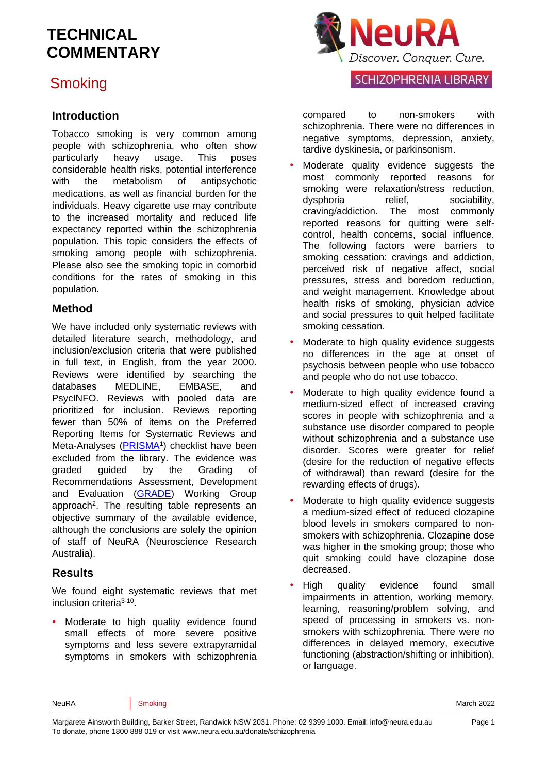## **Smoking**

#### **Introduction**

Tobacco smoking is very common among people with schizophrenia, who often show particularly heavy usage. This poses considerable health risks, potential interference with the metabolism of antipsychotic medications, as well as financial burden for the individuals. Heavy cigarette use may contribute to the increased mortality and reduced life expectancy reported within the schizophrenia population. This topic considers the effects of smoking among people with schizophrenia. Please also see the smoking topic in comorbid conditions for the rates of smoking in this population.

#### **Method**

We have included only systematic reviews with detailed literature search, methodology, and inclusion/exclusion criteria that were published in full text, in English, from the year 2000. Reviews were identified by searching the databases MEDLINE, EMBASE, and PsycINFO. Reviews with pooled data are prioritized for inclusion. Reviews reporting fewer than 50% of items on the Preferred Reporting Items for Systematic Reviews and Meta-Analyses [\(PRISMA](http://www.prisma-statement.org/)<sup>[1](#page-12-0)</sup>) checklist have been excluded from the library. The evidence was graded guided by the Grading of Recommendations Assessment, Development and Evaluation (**GRADE**) Working Group approach<sup>2</sup>[.](#page-12-1) The resulting table represents an objective summary of the available evidence, although the conclusions are solely the opinion of staff of NeuRA (Neuroscience Research Australia).

#### **Results**

We found eight systematic reviews that met inclusion criteria<sup>[3-10](#page-12-2)</sup>.

Moderate to high quality evidence found small effects of more severe positive symptoms and less severe extrapyramidal symptoms in smokers with schizophrenia



#### **SCHIZOPHRENIA LIBRARY**

compared to non-smokers with schizophrenia. There were no differences in negative symptoms, depression, anxiety, tardive dyskinesia, or parkinsonism.

- Moderate quality evidence suggests the most commonly reported reasons for smoking were relaxation/stress reduction, dysphoria relief, sociability, craving/addiction. The most commonly reported reasons for quitting were selfcontrol, health concerns, social influence. The following factors were barriers to smoking cessation: cravings and addiction, perceived risk of negative affect, social pressures, stress and boredom reduction, and weight management. Knowledge about health risks of smoking, physician advice and social pressures to quit helped facilitate smoking cessation.
- Moderate to high quality evidence suggests no differences in the age at onset of psychosis between people who use tobacco and people who do not use tobacco.
- Moderate to high quality evidence found a medium-sized effect of increased craving scores in people with schizophrenia and a substance use disorder compared to people without schizophrenia and a substance use disorder. Scores were greater for relief (desire for the reduction of negative effects of withdrawal) than reward (desire for the rewarding effects of drugs).
- Moderate to high quality evidence suggests a medium-sized effect of reduced clozapine blood levels in smokers compared to nonsmokers with schizophrenia. Clozapine dose was higher in the smoking group; those who quit smoking could have clozapine dose decreased.
- High quality evidence found small impairments in attention, working memory, learning, reasoning/problem solving, and speed of processing in smokers vs. nonsmokers with schizophrenia. There were no differences in delayed memory, executive functioning (abstraction/shifting or inhibition), or language.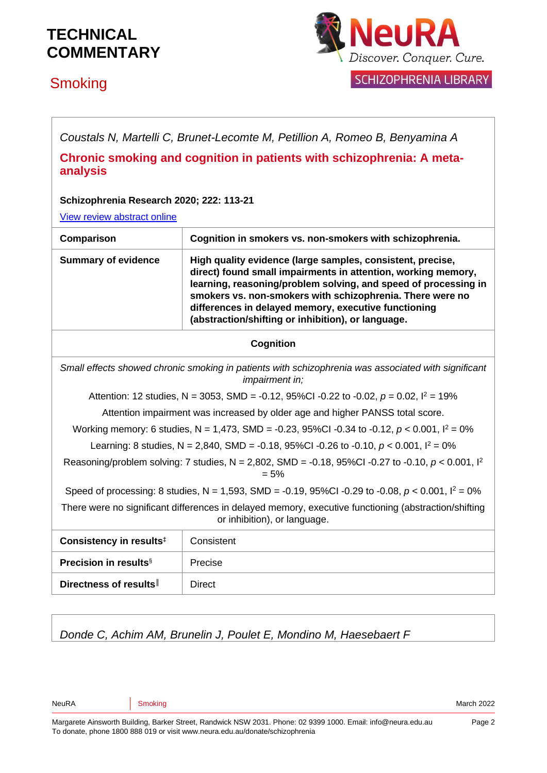## **Smoking**



**SCHIZOPHRENIA LIBRARY** 

*Coustals N, Martelli C, Brunet-Lecomte M, Petillion A, Romeo B, Benyamina A*

**Chronic smoking and cognition in patients with schizophrenia: A metaanalysis**

#### **Schizophrenia Research 2020; 222: 113-21**

[View review abstract online](https://pubmed.ncbi.nlm.nih.gov/32507373/)

| Comparison                                                                                                                           | Cognition in smokers vs. non-smokers with schizophrenia.                                                                                                                                                                                                                                                                                                                  |
|--------------------------------------------------------------------------------------------------------------------------------------|---------------------------------------------------------------------------------------------------------------------------------------------------------------------------------------------------------------------------------------------------------------------------------------------------------------------------------------------------------------------------|
| <b>Summary of evidence</b>                                                                                                           | High quality evidence (large samples, consistent, precise,<br>direct) found small impairments in attention, working memory,<br>learning, reasoning/problem solving, and speed of processing in<br>smokers vs. non-smokers with schizophrenia. There were no<br>differences in delayed memory, executive functioning<br>(abstraction/shifting or inhibition), or language. |
| <b>Cognition</b>                                                                                                                     |                                                                                                                                                                                                                                                                                                                                                                           |
| Small effects showed chronic smoking in patients with schizophrenia was associated with significant<br><i>impairment in;</i>         |                                                                                                                                                                                                                                                                                                                                                                           |
| Attention: 12 studies, N = 3053, SMD = -0.12, 95%CI -0.22 to -0.02, $p = 0.02$ , $l^2 = 19%$                                         |                                                                                                                                                                                                                                                                                                                                                                           |
| Attention impairment was increased by older age and higher PANSS total score.                                                        |                                                                                                                                                                                                                                                                                                                                                                           |
| Working memory: 6 studies, N = 1,473, SMD = -0.23, 95%CI -0.34 to -0.12, $p < 0.001$ , $l^2 = 0\%$                                   |                                                                                                                                                                                                                                                                                                                                                                           |
| Learning: 8 studies, N = 2,840, SMD = -0.18, 95%CI -0.26 to -0.10, $p < 0.001$ , $l^2 = 0$ %                                         |                                                                                                                                                                                                                                                                                                                                                                           |
| Reasoning/problem solving: 7 studies, N = 2,802, SMD = -0.18, 95%Cl -0.27 to -0.10, p < 0.001, $I^2$<br>$= 5%$                       |                                                                                                                                                                                                                                                                                                                                                                           |
| Speed of processing: 8 studies, N = 1,593, SMD = -0.19, 95%CI -0.29 to -0.08, $p < 0.001$ , $l^2 = 0\%$                              |                                                                                                                                                                                                                                                                                                                                                                           |
| There were no significant differences in delayed memory, executive functioning (abstraction/shifting<br>or inhibition), or language. |                                                                                                                                                                                                                                                                                                                                                                           |
| Consistency in results <sup>#</sup>                                                                                                  | Consistent                                                                                                                                                                                                                                                                                                                                                                |
| <b>Precision in results</b> <sup>§</sup>                                                                                             | Precise                                                                                                                                                                                                                                                                                                                                                                   |
| Directness of results                                                                                                                | <b>Direct</b>                                                                                                                                                                                                                                                                                                                                                             |

*Donde C, Achim AM, Brunelin J, Poulet E, Mondino M, Haesebaert F*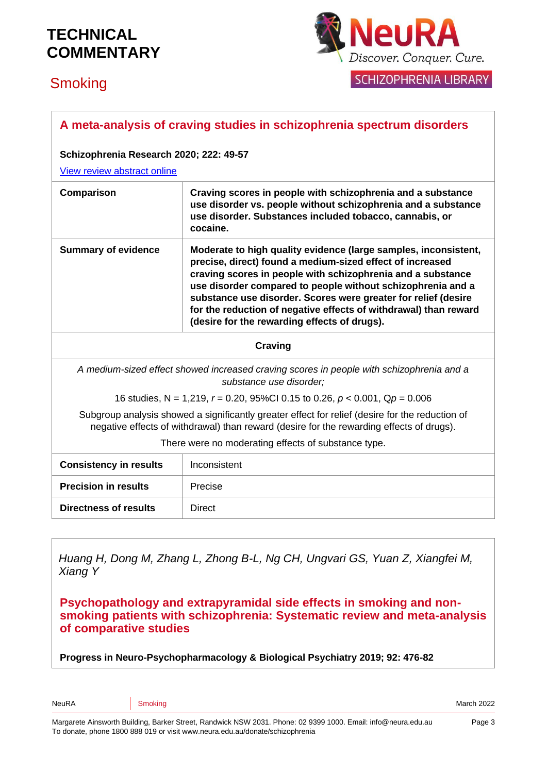# **Smoking**



**SCHIZOPHRENIA LIBRARY** 

|                                                                                                                                                                                             | A meta-analysis of craving studies in schizophrenia spectrum disorders                                                                                                                                                                                                                                                                                                                                                                           |  |
|---------------------------------------------------------------------------------------------------------------------------------------------------------------------------------------------|--------------------------------------------------------------------------------------------------------------------------------------------------------------------------------------------------------------------------------------------------------------------------------------------------------------------------------------------------------------------------------------------------------------------------------------------------|--|
|                                                                                                                                                                                             | Schizophrenia Research 2020; 222: 49-57                                                                                                                                                                                                                                                                                                                                                                                                          |  |
| View review abstract online                                                                                                                                                                 |                                                                                                                                                                                                                                                                                                                                                                                                                                                  |  |
| Comparison                                                                                                                                                                                  | Craving scores in people with schizophrenia and a substance<br>use disorder vs. people without schizophrenia and a substance<br>use disorder. Substances included tobacco, cannabis, or<br>cocaine.                                                                                                                                                                                                                                              |  |
| <b>Summary of evidence</b>                                                                                                                                                                  | Moderate to high quality evidence (large samples, inconsistent,<br>precise, direct) found a medium-sized effect of increased<br>craving scores in people with schizophrenia and a substance<br>use disorder compared to people without schizophrenia and a<br>substance use disorder. Scores were greater for relief (desire<br>for the reduction of negative effects of withdrawal) than reward<br>(desire for the rewarding effects of drugs). |  |
| <b>Craving</b>                                                                                                                                                                              |                                                                                                                                                                                                                                                                                                                                                                                                                                                  |  |
| A medium-sized effect showed increased craving scores in people with schizophrenia and a<br>substance use disorder;                                                                         |                                                                                                                                                                                                                                                                                                                                                                                                                                                  |  |
| 16 studies, N = 1,219, $r = 0.20$ , 95%Cl 0.15 to 0.26, $p < 0.001$ , Qp = 0.006                                                                                                            |                                                                                                                                                                                                                                                                                                                                                                                                                                                  |  |
| Subgroup analysis showed a significantly greater effect for relief (desire for the reduction of<br>negative effects of withdrawal) than reward (desire for the rewarding effects of drugs). |                                                                                                                                                                                                                                                                                                                                                                                                                                                  |  |
| There were no moderating effects of substance type.                                                                                                                                         |                                                                                                                                                                                                                                                                                                                                                                                                                                                  |  |
| <b>Consistency in results</b>                                                                                                                                                               | Inconsistent                                                                                                                                                                                                                                                                                                                                                                                                                                     |  |
| <b>Precision in results</b>                                                                                                                                                                 | Precise                                                                                                                                                                                                                                                                                                                                                                                                                                          |  |
| <b>Directness of results</b>                                                                                                                                                                | <b>Direct</b>                                                                                                                                                                                                                                                                                                                                                                                                                                    |  |

*Huang H, Dong M, Zhang L, Zhong B-L, Ng CH, Ungvari GS, Yuan Z, Xiangfei M, Xiang Y*

**Psychopathology and extrapyramidal side effects in smoking and nonsmoking patients with schizophrenia: Systematic review and meta-analysis of comparative studies** 

**Progress in Neuro-Psychopharmacology & Biological Psychiatry 2019; 92: 476-82**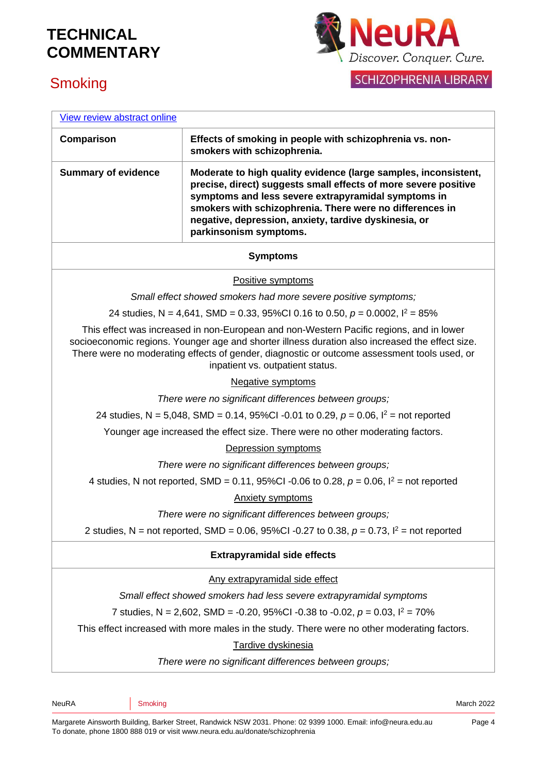



| View review abstract online                                                                                                                                                                                                                                                                                                   |                                                                                                                                                                                                                                                                                                                                          |  |
|-------------------------------------------------------------------------------------------------------------------------------------------------------------------------------------------------------------------------------------------------------------------------------------------------------------------------------|------------------------------------------------------------------------------------------------------------------------------------------------------------------------------------------------------------------------------------------------------------------------------------------------------------------------------------------|--|
| Comparison                                                                                                                                                                                                                                                                                                                    | Effects of smoking in people with schizophrenia vs. non-<br>smokers with schizophrenia.                                                                                                                                                                                                                                                  |  |
| <b>Summary of evidence</b>                                                                                                                                                                                                                                                                                                    | Moderate to high quality evidence (large samples, inconsistent,<br>precise, direct) suggests small effects of more severe positive<br>symptoms and less severe extrapyramidal symptoms in<br>smokers with schizophrenia. There were no differences in<br>negative, depression, anxiety, tardive dyskinesia, or<br>parkinsonism symptoms. |  |
|                                                                                                                                                                                                                                                                                                                               | <b>Symptoms</b>                                                                                                                                                                                                                                                                                                                          |  |
|                                                                                                                                                                                                                                                                                                                               | Positive symptoms                                                                                                                                                                                                                                                                                                                        |  |
|                                                                                                                                                                                                                                                                                                                               | Small effect showed smokers had more severe positive symptoms;                                                                                                                                                                                                                                                                           |  |
|                                                                                                                                                                                                                                                                                                                               | 24 studies, N = 4,641, SMD = 0.33, 95%Cl 0.16 to 0.50, $p = 0.0002$ , $l^2 = 85%$                                                                                                                                                                                                                                                        |  |
| This effect was increased in non-European and non-Western Pacific regions, and in lower<br>socioeconomic regions. Younger age and shorter illness duration also increased the effect size.<br>There were no moderating effects of gender, diagnostic or outcome assessment tools used, or<br>inpatient vs. outpatient status. |                                                                                                                                                                                                                                                                                                                                          |  |
| <b>Negative symptoms</b>                                                                                                                                                                                                                                                                                                      |                                                                                                                                                                                                                                                                                                                                          |  |
| There were no significant differences between groups;                                                                                                                                                                                                                                                                         |                                                                                                                                                                                                                                                                                                                                          |  |
| 24 studies, N = 5,048, SMD = 0.14, 95%Cl -0.01 to 0.29, $p = 0.06$ , $l^2$ = not reported                                                                                                                                                                                                                                     |                                                                                                                                                                                                                                                                                                                                          |  |
| Younger age increased the effect size. There were no other moderating factors.                                                                                                                                                                                                                                                |                                                                                                                                                                                                                                                                                                                                          |  |
| Depression symptoms                                                                                                                                                                                                                                                                                                           |                                                                                                                                                                                                                                                                                                                                          |  |
| There were no significant differences between groups;                                                                                                                                                                                                                                                                         |                                                                                                                                                                                                                                                                                                                                          |  |
| 4 studies, N not reported, SMD = 0.11, 95%CI -0.06 to 0.28, $p = 0.06$ , $l^2 =$ not reported                                                                                                                                                                                                                                 |                                                                                                                                                                                                                                                                                                                                          |  |
| <b>Anxiety symptoms</b>                                                                                                                                                                                                                                                                                                       |                                                                                                                                                                                                                                                                                                                                          |  |
| There were no significant differences between groups;                                                                                                                                                                                                                                                                         |                                                                                                                                                                                                                                                                                                                                          |  |
|                                                                                                                                                                                                                                                                                                                               | 2 studies, N = not reported, SMD = 0.06, 95%Cl -0.27 to 0.38, $p = 0.73$ , $l^2$ = not reported                                                                                                                                                                                                                                          |  |
| <b>Extrapyramidal side effects</b>                                                                                                                                                                                                                                                                                            |                                                                                                                                                                                                                                                                                                                                          |  |
|                                                                                                                                                                                                                                                                                                                               | Any extrapyramidal side effect                                                                                                                                                                                                                                                                                                           |  |
|                                                                                                                                                                                                                                                                                                                               | Small effect showed smokers had less severe extrapyramidal symptoms                                                                                                                                                                                                                                                                      |  |
|                                                                                                                                                                                                                                                                                                                               | 7 studies, N = 2,602, SMD = -0.20, 95%CI -0.38 to -0.02, $p = 0.03$ , $l^2 = 70\%$                                                                                                                                                                                                                                                       |  |
|                                                                                                                                                                                                                                                                                                                               | This effect increased with more males in the study. There were no other moderating factors.                                                                                                                                                                                                                                              |  |
| Tardive dyskinesia                                                                                                                                                                                                                                                                                                            |                                                                                                                                                                                                                                                                                                                                          |  |
| There were no significant differences between groups;                                                                                                                                                                                                                                                                         |                                                                                                                                                                                                                                                                                                                                          |  |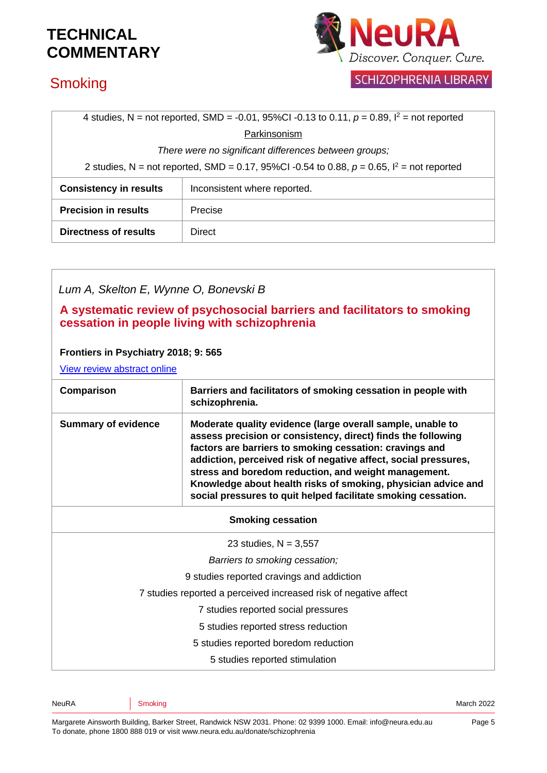## **Smoking**



### **SCHIZOPHRENIA LIBRARY**

| 4 studies, N = not reported, SMD = -0.01, 95%CI -0.13 to 0.11, $p = 0.89$ , $l^2$ = not reported |                              |
|--------------------------------------------------------------------------------------------------|------------------------------|
|                                                                                                  | Parkinsonism                 |
| There were no significant differences between groups;                                            |                              |
| 2 studies, N = not reported, SMD = 0.17, 95%Cl -0.54 to 0.88, $p = 0.65$ , $l^2$ = not reported  |                              |
| <b>Consistency in results</b>                                                                    | Inconsistent where reported. |
| <b>Precision in results</b>                                                                      | Precise                      |
| <b>Directness of results</b>                                                                     | Direct                       |

## *Lum A, Skelton E, Wynne O, Bonevski B* **A systematic review of psychosocial barriers and facilitators to smoking cessation in people living with schizophrenia Frontiers in Psychiatry 2018; 9: 565** [View review abstract online](https://www.ncbi.nlm.nih.gov/pubmed/30459658) **Comparison Barriers and facilitators of smoking cessation in people with schizophrenia. Summary of evidence Moderate quality evidence (large overall sample, unable to assess precision or consistency, direct) finds the following factors are barriers to smoking cessation: cravings and addiction, perceived risk of negative affect, social pressures, stress and boredom reduction, and weight management. Knowledge about health risks of smoking, physician advice and social pressures to quit helped facilitate smoking cessation. Smoking cessation** 23 studies,  $N = 3,557$ *Barriers to smoking cessation;* 9 studies reported cravings and addiction 7 studies reported a perceived increased risk of negative affect 7 studies reported social pressures 5 studies reported stress reduction 5 studies reported boredom reduction

5 studies reported stimulation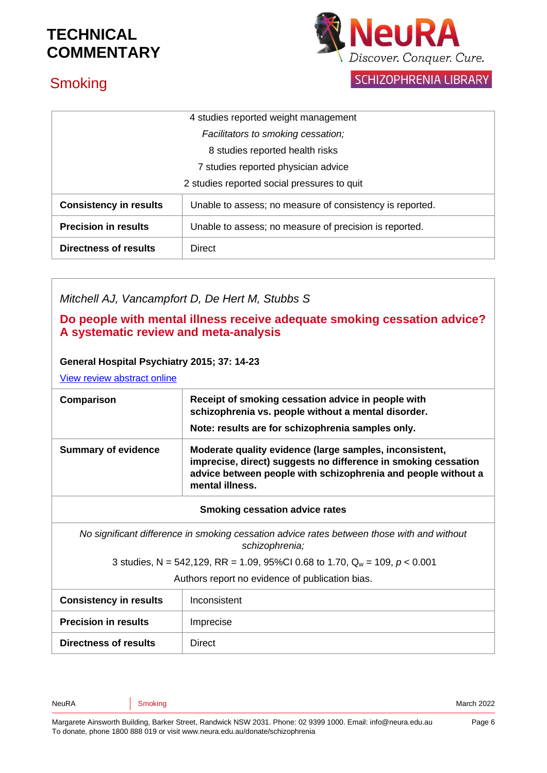

# **Smoking**

**SCHIZOPHRENIA LIBRARY** 

| 4 studies reported weight management        |                                                          |
|---------------------------------------------|----------------------------------------------------------|
| Facilitators to smoking cessation;          |                                                          |
| 8 studies reported health risks             |                                                          |
| 7 studies reported physician advice         |                                                          |
| 2 studies reported social pressures to quit |                                                          |
| <b>Consistency in results</b>               | Unable to assess; no measure of consistency is reported. |
| <b>Precision in results</b>                 | Unable to assess; no measure of precision is reported.   |
| <b>Directness of results</b>                | <b>Direct</b>                                            |

*Mitchell AJ, Vancampfort D, De Hert M, Stubbs S*

#### **Do people with mental illness receive adequate smoking cessation advice? A systematic review and meta-analysis**

#### **General Hospital Psychiatry 2015; 37: 14-23**

[View review abstract online](http://www.ncbi.nlm.nih.gov/pubmed/25510845)

| Comparison                 | Receipt of smoking cessation advice in people with<br>schizophrenia vs. people without a mental disorder.<br>Note: results are for schizophrenia samples only.                                                |
|----------------------------|---------------------------------------------------------------------------------------------------------------------------------------------------------------------------------------------------------------|
| <b>Summary of evidence</b> | Moderate quality evidence (large samples, inconsistent,<br>imprecise, direct) suggests no difference in smoking cessation<br>advice between people with schizophrenia and people without a<br>mental illness. |

#### **Smoking cessation advice rates**

*No significant difference in smoking cessation advice rates between those with and without schizophrenia;* 

3 studies, N = 542,129, RR = 1.09, 95%CI 0.68 to 1.70, Q<sup>w</sup> = 109, *p* < 0.001

Authors report no evidence of publication bias.

| <b>Consistency in results</b> | Inconsistent  |
|-------------------------------|---------------|
| <b>Precision in results</b>   | Imprecise     |
| <b>Directness of results</b>  | <b>Direct</b> |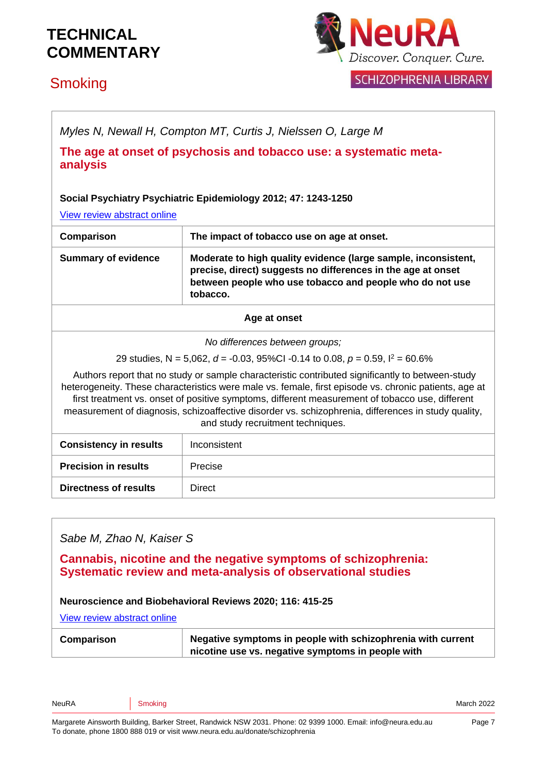## **Smoking**



**SCHIZOPHRENIA LIBRARY** 

| Myles N, Newall H, Compton MT, Curtis J, Nielssen O, Large M                                                                                                                                                                                                                                                                                                                                                                                             |                                                                                                                                                                                                        |
|----------------------------------------------------------------------------------------------------------------------------------------------------------------------------------------------------------------------------------------------------------------------------------------------------------------------------------------------------------------------------------------------------------------------------------------------------------|--------------------------------------------------------------------------------------------------------------------------------------------------------------------------------------------------------|
| The age at onset of psychosis and tobacco use: a systematic meta-<br>analysis                                                                                                                                                                                                                                                                                                                                                                            |                                                                                                                                                                                                        |
| Social Psychiatry Psychiatric Epidemiology 2012; 47: 1243-1250<br>View review abstract online                                                                                                                                                                                                                                                                                                                                                            |                                                                                                                                                                                                        |
| Comparison                                                                                                                                                                                                                                                                                                                                                                                                                                               | The impact of tobacco use on age at onset.                                                                                                                                                             |
| <b>Summary of evidence</b>                                                                                                                                                                                                                                                                                                                                                                                                                               | Moderate to high quality evidence (large sample, inconsistent,<br>precise, direct) suggests no differences in the age at onset<br>between people who use tobacco and people who do not use<br>tobacco. |
| Age at onset                                                                                                                                                                                                                                                                                                                                                                                                                                             |                                                                                                                                                                                                        |
| No differences between groups;                                                                                                                                                                                                                                                                                                                                                                                                                           |                                                                                                                                                                                                        |
| 29 studies, N = 5,062, d = -0.03, 95%Cl -0.14 to 0.08, $p = 0.59$ , $l^2 = 60.6\%$                                                                                                                                                                                                                                                                                                                                                                       |                                                                                                                                                                                                        |
| Authors report that no study or sample characteristic contributed significantly to between-study<br>heterogeneity. These characteristics were male vs. female, first episode vs. chronic patients, age at<br>first treatment vs. onset of positive symptoms, different measurement of tobacco use, different<br>measurement of diagnosis, schizoaffective disorder vs. schizophrenia, differences in study quality,<br>and study recruitment techniques. |                                                                                                                                                                                                        |
| <b>Consistency in results</b>                                                                                                                                                                                                                                                                                                                                                                                                                            | Inconsistent                                                                                                                                                                                           |
| <b>Precision in results</b>                                                                                                                                                                                                                                                                                                                                                                                                                              | Precise                                                                                                                                                                                                |
| <b>Directness of results</b>                                                                                                                                                                                                                                                                                                                                                                                                                             | <b>Direct</b>                                                                                                                                                                                          |
|                                                                                                                                                                                                                                                                                                                                                                                                                                                          |                                                                                                                                                                                                        |

### *Sabe M, Zhao N, Kaiser S*

**Cannabis, nicotine and the negative symptoms of schizophrenia: Systematic review and meta-analysis of observational studies** 

#### **Neuroscience and Biobehavioral Reviews 2020; 116: 415-25**

[View review abstract online](https://www.sciencedirect.com/science/article/pii/S0149763420304681)

| nicotine use vs. negative symptoms in people with |
|---------------------------------------------------|
|---------------------------------------------------|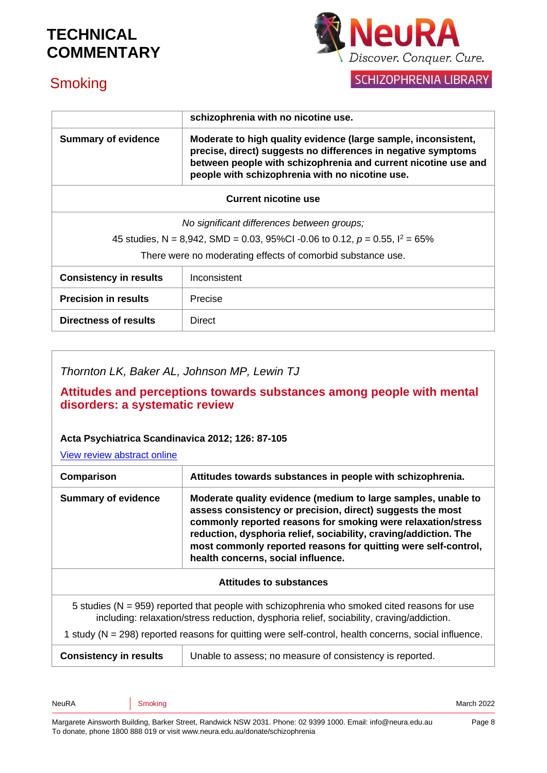

## **Smoking**

**SCHIZOPHRENIA LIBRARY** 

|                                                                                   | schizophrenia with no nicotine use.                                                                                                                                                                                                                  |  |
|-----------------------------------------------------------------------------------|------------------------------------------------------------------------------------------------------------------------------------------------------------------------------------------------------------------------------------------------------|--|
| <b>Summary of evidence</b>                                                        | Moderate to high quality evidence (large sample, inconsistent,<br>precise, direct) suggests no differences in negative symptoms<br>between people with schizophrenia and current nicotine use and<br>people with schizophrenia with no nicotine use. |  |
| <b>Current nicotine use</b>                                                       |                                                                                                                                                                                                                                                      |  |
| No significant differences between groups;                                        |                                                                                                                                                                                                                                                      |  |
| 45 studies, N = 8,942, SMD = 0.03, 95%CI -0.06 to 0.12, $p = 0.55$ , $l^2 = 65\%$ |                                                                                                                                                                                                                                                      |  |
| There were no moderating effects of comorbid substance use.                       |                                                                                                                                                                                                                                                      |  |
| <b>Consistency in results</b>                                                     | Inconsistent                                                                                                                                                                                                                                         |  |
| <b>Precision in results</b>                                                       | Precise                                                                                                                                                                                                                                              |  |
| Directness of results                                                             | Direct                                                                                                                                                                                                                                               |  |

*Thornton LK, Baker AL, Johnson MP, Lewin TJ*

**Attitudes and perceptions towards substances among people with mental disorders: a systematic review** 

#### **Acta Psychiatrica Scandinavica 2012; 126: 87-105**

[View review abstract online](http://www.ncbi.nlm.nih.gov/pubmed/22486607)

| Comparison                     | Attitudes towards substances in people with schizophrenia.                                                                                                                                                                                                                                                                                                              |
|--------------------------------|-------------------------------------------------------------------------------------------------------------------------------------------------------------------------------------------------------------------------------------------------------------------------------------------------------------------------------------------------------------------------|
| <b>Summary of evidence</b>     | Moderate quality evidence (medium to large samples, unable to<br>assess consistency or precision, direct) suggests the most<br>commonly reported reasons for smoking were relaxation/stress<br>reduction, dysphoria relief, sociability, craving/addiction. The<br>most commonly reported reasons for quitting were self-control,<br>health concerns, social influence. |
| <b>Attitudes to substances</b> |                                                                                                                                                                                                                                                                                                                                                                         |
|                                | 5 studies ( $N = 959$ ) reported that people with schizophrenia who smoked cited reasons for use<br>including: relaxation/stress reduction, dysphoria relief, sociability, craving/addiction.<br>1 study ( $N = 298$ ) reported reasons for quitting were self-control, health concerns, social influence.                                                              |
| <b>Consistency in results</b>  | Unable to assess; no measure of consistency is reported.                                                                                                                                                                                                                                                                                                                |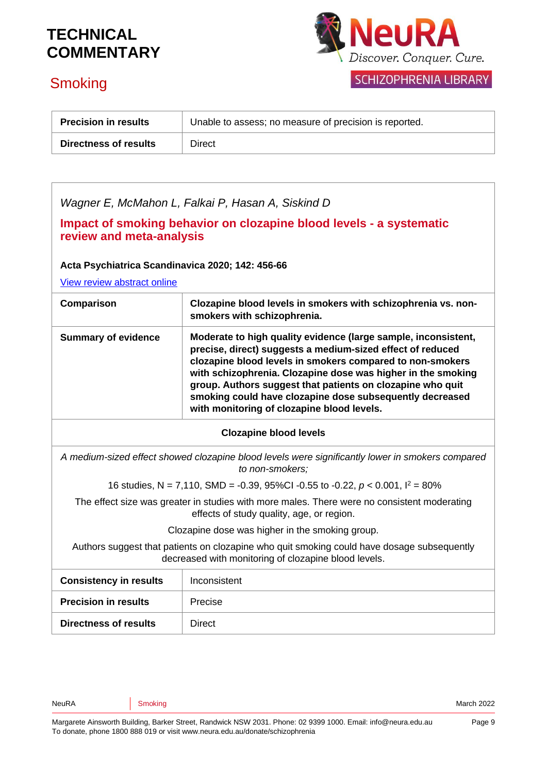

# **Smoking**

| <b>Precision in results</b>  | Unable to assess; no measure of precision is reported. |
|------------------------------|--------------------------------------------------------|
| <b>Directness of results</b> | Direct                                                 |

| Wagner E, McMahon L, Falkai P, Hasan A, Siskind D |  |  |
|---------------------------------------------------|--|--|

**Impact of smoking behavior on clozapine blood levels - a systematic review and meta-analysis**

**Acta Psychiatrica Scandinavica 2020; 142: 456-66**

[View review abstract online](https://pubmed.ncbi.nlm.nih.gov/32869278/)

| Comparison                                                                                                                                         | Clozapine blood levels in smokers with schizophrenia vs. non-<br>smokers with schizophrenia.                                                                                                                                                                                                                                                                                                                                      |  |  |
|----------------------------------------------------------------------------------------------------------------------------------------------------|-----------------------------------------------------------------------------------------------------------------------------------------------------------------------------------------------------------------------------------------------------------------------------------------------------------------------------------------------------------------------------------------------------------------------------------|--|--|
| <b>Summary of evidence</b>                                                                                                                         | Moderate to high quality evidence (large sample, inconsistent,<br>precise, direct) suggests a medium-sized effect of reduced<br>clozapine blood levels in smokers compared to non-smokers<br>with schizophrenia. Clozapine dose was higher in the smoking<br>group. Authors suggest that patients on clozapine who quit<br>smoking could have clozapine dose subsequently decreased<br>with monitoring of clozapine blood levels. |  |  |
| <b>Clozapine blood levels</b>                                                                                                                      |                                                                                                                                                                                                                                                                                                                                                                                                                                   |  |  |
| A medium-sized effect showed clozapine blood levels were significantly lower in smokers compared<br>to non-smokers;                                |                                                                                                                                                                                                                                                                                                                                                                                                                                   |  |  |
| 16 studies, N = 7,110, SMD = -0.39, 95%Cl -0.55 to -0.22, $p < 0.001$ , $l^2 = 80\%$                                                               |                                                                                                                                                                                                                                                                                                                                                                                                                                   |  |  |
| The effect size was greater in studies with more males. There were no consistent moderating<br>effects of study quality, age, or region.           |                                                                                                                                                                                                                                                                                                                                                                                                                                   |  |  |
| Clozapine dose was higher in the smoking group.                                                                                                    |                                                                                                                                                                                                                                                                                                                                                                                                                                   |  |  |
| Authors suggest that patients on clozapine who quit smoking could have dosage subsequently<br>decreased with monitoring of clozapine blood levels. |                                                                                                                                                                                                                                                                                                                                                                                                                                   |  |  |
| <b>Consistency in results</b>                                                                                                                      | Inconsistent                                                                                                                                                                                                                                                                                                                                                                                                                      |  |  |
| <b>Precision in results</b>                                                                                                                        | Precise                                                                                                                                                                                                                                                                                                                                                                                                                           |  |  |
| <b>Directness of results</b>                                                                                                                       | <b>Direct</b>                                                                                                                                                                                                                                                                                                                                                                                                                     |  |  |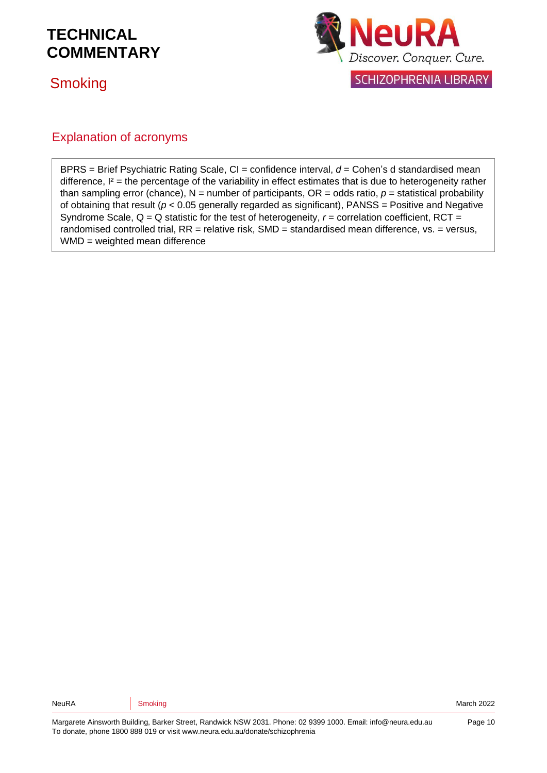## **Smoking**



### Explanation of acronyms

BPRS = Brief Psychiatric Rating Scale, CI = confidence interval,  $d =$  Cohen's d standardised mean difference,  $I^2$  = the percentage of the variability in effect estimates that is due to heterogeneity rather than sampling error (chance),  $N =$  number of participants,  $OR =$  odds ratio,  $p =$  statistical probability of obtaining that result ( $p < 0.05$  generally regarded as significant), PANSS = Positive and Negative Syndrome Scale,  $Q = Q$  statistic for the test of heterogeneity,  $r =$  correlation coefficient, RCT = randomised controlled trial,  $RR =$  relative risk,  $SMD =$  standardised mean difference,  $vs. =$  versus, WMD = weighted mean difference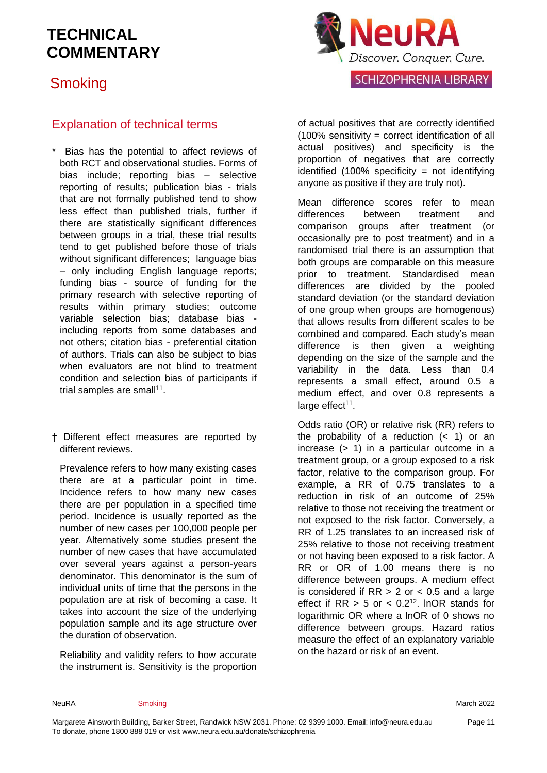## **Smoking**



### Explanation of technical terms

Bias has the potential to affect reviews of both RCT and observational studies. Forms of bias include; reporting bias – selective reporting of results; publication bias - trials that are not formally published tend to show less effect than published trials, further if there are statistically significant differences between groups in a trial, these trial results tend to get published before those of trials without significant differences; language bias – only including English language reports; funding bias - source of funding for the primary research with selective reporting of results within primary studies; outcome variable selection bias; database bias including reports from some databases and not others; citation bias - preferential citation of authors. Trials can also be subject to bias when evaluators are not blind to treatment condition and selection bias of participants if trial samples are small<sup>[11](#page-12-3)</sup>.

† Different effect measures are reported by different reviews.

Prevalence refers to how many existing cases there are at a particular point in time. Incidence refers to how many new cases there are per population in a specified time period. Incidence is usually reported as the number of new cases per 100,000 people per year. Alternatively some studies present the number of new cases that have accumulated over several years against a person-years denominator. This denominator is the sum of individual units of time that the persons in the population are at risk of becoming a case. It takes into account the size of the underlying population sample and its age structure over the duration of observation.

Reliability and validity refers to how accurate the instrument is. Sensitivity is the proportion of actual positives that are correctly identified (100% sensitivity = correct identification of all actual positives) and specificity is the proportion of negatives that are correctly identified (100% specificity = not identifying anyone as positive if they are truly not).

Mean difference scores refer to mean differences between treatment and comparison groups after treatment (or occasionally pre to post treatment) and in a randomised trial there is an assumption that both groups are comparable on this measure prior to treatment. Standardised mean differences are divided by the pooled standard deviation (or the standard deviation of one group when groups are homogenous) that allows results from different scales to be combined and compared. Each study's mean difference is then given a weighting depending on the size of the sample and the variability in the data. Less than 0.4 represents a small effect, around 0.5 a medium effect, and over 0.8 represents a large effect<sup>[11](#page-12-3)</sup>.

Odds ratio (OR) or relative risk (RR) refers to the probability of a reduction  $( $1$ )$  or an increase (> 1) in a particular outcome in a treatment group, or a group exposed to a risk factor, relative to the comparison group. For example, a RR of 0.75 translates to a reduction in risk of an outcome of 25% relative to those not receiving the treatment or not exposed to the risk factor. Conversely, a RR of 1.25 translates to an increased risk of 25% relative to those not receiving treatment or not having been exposed to a risk factor. A RR or OR of 1.00 means there is no difference between groups. A medium effect is considered if  $RR > 2$  or  $< 0.5$  and a large effect if  $RR > 5$  or  $< 0.2<sup>12</sup>$  $< 0.2<sup>12</sup>$  $< 0.2<sup>12</sup>$ . InOR stands for logarithmic OR where a lnOR of 0 shows no difference between groups. Hazard ratios measure the effect of an explanatory variable on the hazard or risk of an event.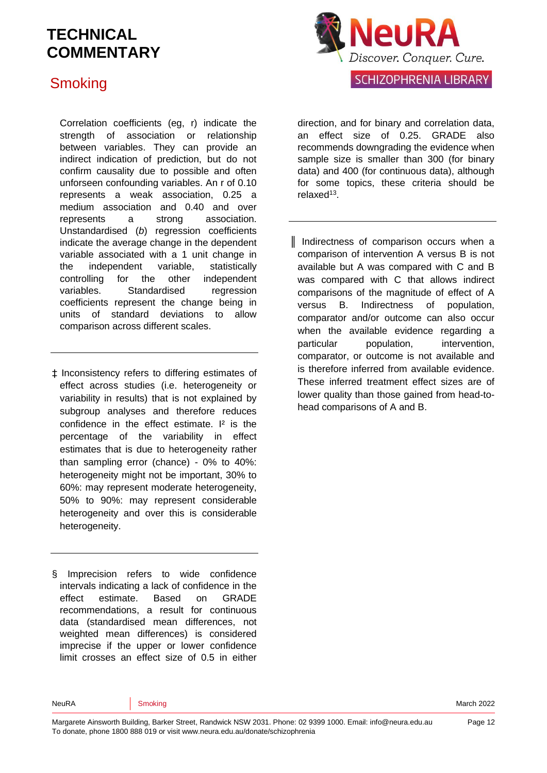### **Smoking**

Correlation coefficients (eg, r) indicate the strength of association or relationship between variables. They can provide an indirect indication of prediction, but do not confirm causality due to possible and often unforseen confounding variables. An r of 0.10 represents a weak association, 0.25 a medium association and 0.40 and over represents a strong association. Unstandardised (*b*) regression coefficients indicate the average change in the dependent variable associated with a 1 unit change in the independent variable, statistically controlling for the other independent variables. Standardised regression coefficients represent the change being in units of standard deviations to allow comparison across different scales.

‡ Inconsistency refers to differing estimates of effect across studies (i.e. heterogeneity or variability in results) that is not explained by subgroup analyses and therefore reduces confidence in the effect estimate. I<sup>2</sup> is the percentage of the variability in effect estimates that is due to heterogeneity rather than sampling error (chance) - 0% to 40%: heterogeneity might not be important, 30% to 60%: may represent moderate heterogeneity, 50% to 90%: may represent considerable heterogeneity and over this is considerable heterogeneity.

§ Imprecision refers to wide confidence intervals indicating a lack of confidence in the effect estimate. Based on GRADE recommendations, a result for continuous data (standardised mean differences, not weighted mean differences) is considered imprecise if the upper or lower confidence limit crosses an effect size of 0.5 in either



direction, and for binary and correlation data, an effect size of 0.25. GRADE also recommends downgrading the evidence when sample size is smaller than 300 (for binary data) and 400 (for continuous data), although for some topics, these criteria should be relaxed<sup>[13](#page-12-5)</sup>.

║ Indirectness of comparison occurs when a comparison of intervention A versus B is not available but A was compared with C and B was compared with C that allows indirect comparisons of the magnitude of effect of A versus B. Indirectness of population, comparator and/or outcome can also occur when the available evidence regarding a particular population, intervention, comparator, or outcome is not available and is therefore inferred from available evidence. These inferred treatment effect sizes are of lower quality than those gained from head-tohead comparisons of A and B.